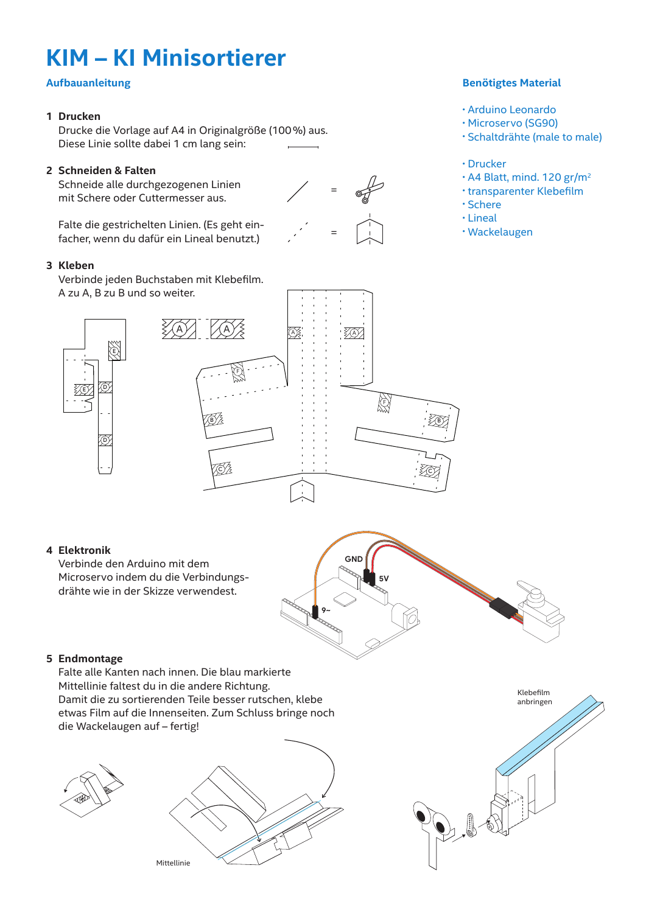# **Cutting & Folding KIM – KI Minisortierer**

## **Tiny Sorter Assembly Aufbauanleitung**

#### **1 Drucken Tiny Sorter Assembly**

Drucke die Vorlage auf A4 in Originalgröße (100 %) aus.<br>Drucke die Vorlage auf A4 in Originalgröße (100 %) aus. Diese Linie sollte dabei 1 cm lan **Cutting & Folding** Diese Linie sollte dabei 1 cm lang sein:

#### Schneiden & Falten 2 Schneiden & Falten

e<br>Schneide alle durchgezogenen Linien mit Schere oder Cutte � Google-y Eyes (MANDATORY!) **Bermerde und durchgezegenen zm**<br>mit Schere oder Cuttermesser aus.

<u>.</u><br>alte die gestrichelten L facher, wenn du dafür ein Lineal benutzt<mark>.</mark>) Falte die gestrichelten Linien. (Es geht ein-

#### **Stick it Together** Print at 100% scale. **Printing Tips 3 Kleben**

**Electronics** ZAV, C B C B ĀX F **Q** Connect each letter with tape. A to A, B to B, and so on. A zu A, B zu B und so weiter. D E E D **Francisco Stick it Together** Connect each letter with tape. A to A, B to B, and so on. Verbinde jeden Buchstaben mit Klebefilm. A A A A A A A <sup>-</sup> A  $\mathcal{C}$ A A A E t, A F Connect each letter with tape. A to A, B to B, and so on. This line should be one inch  $A \times A \times A$ **Electronics** Connect the arduino to the micro servo using the jumper wires. **GND** Connect the arduino to the micro servo using the jumper wires.

## **Benötigtes Material**

- Arduino Leonardo
- Microservo (SG90)
- Schaltdrähte (male to male)
- Drucker
- $\cdot$  A4 Blatt, mind. 120 gr/m<sup>2</sup>
- transparenter Klebefilm
- Schere
- Lineal
- Wackelaugen

## **Electronics 4 Elektronik**

Verbinde den Arduino mit dem Microservo indem du die Verbindungsdrähte wie in der Skizze verwendest.



### **5** Endmontage

**Folding** Falte alle Kanten nach innen. Die blau markierte Damit die zu sortierenden Teile besser rutschen, klebe **Folding** die Wackelaugen auf – fertig! Mittellinie faltest du in die andere Richtung. etwas Film auf die Innenseiten. Zum Schluss bringe noch







Klebefilm anbringen  $\mathcal{D} \parallel \mathcal{E}$ 



**Stick it Together**